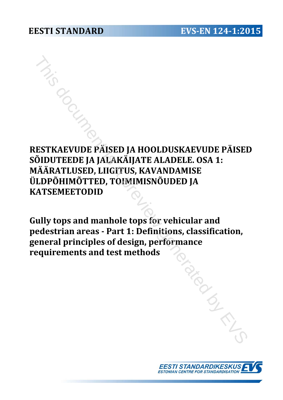# **RESTKAEVUDE PÄISED JA HOOLDUSKAEVUDE PÄISED SÕIDUTEEDE JA JALAKÄIJATE ALADELE. OSA 1: MÄÄRATLUSED, LIIGITUS, KAVANDAMISE ÜLDPÕHIMÕTTED, TOIMIMISNÕUDED JA KATSEMEETODID** THIS DESTRAEVUDE PÄISED JA HOOLDUSKAEVUDE PÄISE<br>
IDUTEEDE JA JALAKÄIJATE ALADELE. OSA 1:<br>
ÄÄRATLUSED, LIIGITUS, KAVANDAMISE<br>
LDPÕHIMÕTTED, TOIMIMISNÕUDED JA<br>
ATSEMEETODID<br>
iully tops and manhole tops for vehicular and<br>
rea

**Gully tops and manhole tops for vehicular and pedestrian areas - Part 1: Definitions, classification, general principles of design, performance requirements and test methods** 

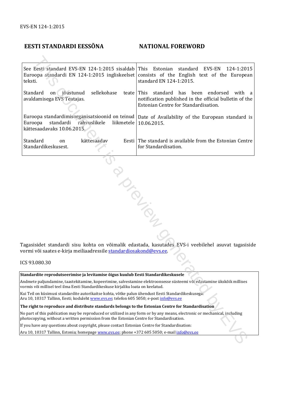## **EESTI STANDARDI EESSÕNA NATIONAL FOREWORD**

| See Eesti standard EVS-EN 124-1:2015 sisaldab This<br>teksti.                                                                                                                                                | Estonian<br>standard<br>EVS-EN<br>124-1:2015<br>Euroopa standardi EN 124-1:2015 ingliskeelset consists of the English text of the European<br>standard EN 124-1:2015. |  |
|--------------------------------------------------------------------------------------------------------------------------------------------------------------------------------------------------------------|-----------------------------------------------------------------------------------------------------------------------------------------------------------------------|--|
| on jõustunud<br>sellekohase<br>Standard<br>teate This<br>avaldamisega EVS Teatajas.                                                                                                                          | standard has<br>been<br>endorsed<br>with<br><sub>a</sub><br>notification published in the official bulletin of the<br>Estonian Centre for Standardisation.            |  |
| standardi<br>rahvuslikele<br>liikmetele<br>Euroopa<br>kättesaadavaks 10.06.2015.                                                                                                                             | Euroopa standardimisorganisatsioonid on teinud   Date of Availability of the European standard is<br>10.06.2015.                                                      |  |
| kättesaadav<br>Standard<br>on<br>Standardikeskusest.                                                                                                                                                         | Eesti The standard is available from the Estonian Centre<br>for Standardisation.                                                                                      |  |
|                                                                                                                                                                                                              |                                                                                                                                                                       |  |
|                                                                                                                                                                                                              |                                                                                                                                                                       |  |
|                                                                                                                                                                                                              |                                                                                                                                                                       |  |
|                                                                                                                                                                                                              |                                                                                                                                                                       |  |
|                                                                                                                                                                                                              |                                                                                                                                                                       |  |
| DIDIDOS                                                                                                                                                                                                      |                                                                                                                                                                       |  |
|                                                                                                                                                                                                              |                                                                                                                                                                       |  |
|                                                                                                                                                                                                              |                                                                                                                                                                       |  |
|                                                                                                                                                                                                              | Tagasisidet standardi sisu kohta on võimalik edastada, kasutades EVS-i veebilehel asuvat tagasiside                                                                   |  |
| vormi või saates e-kirja meiliaadressile <u>standardiosakond@evs.ee</u> .                                                                                                                                    |                                                                                                                                                                       |  |
| CS 93.080.30                                                                                                                                                                                                 |                                                                                                                                                                       |  |
| itandardite reprodutseerimise ja levitamise õigus kuulub Eesti Standardikeskusele                                                                                                                            |                                                                                                                                                                       |  |
| Andmete paljundamine, taastekitamine, kopeerimine, salvestamine elektroonsesse süsteemi või edastamine ükskõik millises<br>vormis või millisel teel ilma Eesti Standardikeskuse kirjaliku loata on keelatud. |                                                                                                                                                                       |  |
| kui Teil on küsimusi standardite autorikaitse kohta, võtke palun ühendust Eesti Standardikeskusega:                                                                                                          |                                                                                                                                                                       |  |
| Aru 10, 10317 Tallinn, Eesti; koduleht www.evs.ee; telefon 605 5050; e-post info@evs.ee<br>The right to reproduce and distribute standards belongs to the Estonian Centre for Standardisation                |                                                                                                                                                                       |  |
| Vo part of this publication may be reproduced or utilized in any form or by any means, electronic or mechanical, including                                                                                   |                                                                                                                                                                       |  |
| shotocopying, without a written permission from the Estonian Centre for Standardisation.                                                                                                                     |                                                                                                                                                                       |  |
| f you have any questions about copyright, please contact Estonian Centre for Standardisation:                                                                                                                |                                                                                                                                                                       |  |
| 1 - Aru 10, 10317 Tallinn, Estonia; homepage <u>www.evs.ee</u> ; phone +372 605 5050; e-m <mark>ail <u>info@evs.ee</u></mark>                                                                                |                                                                                                                                                                       |  |
|                                                                                                                                                                                                              |                                                                                                                                                                       |  |

ICS 93.080.30

#### **Standardite reprodutseerimise ja levitamise õigus kuulub Eesti Standardikeskusele**

#### **The right to reproduce and distribute standards belongs to the Estonian Centre for Standardisation**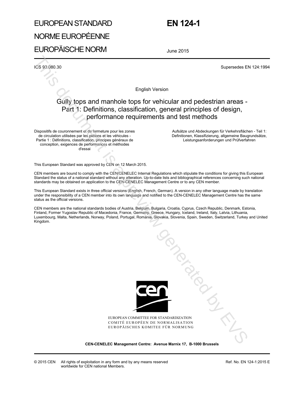# EUROPEAN STANDARD

 **EN 124-1** 

# NORME EUROPÉENNE

EUROPÄISCHE NORM

June 2015

ICS 93.080.30 Supersedes EN 124:1994

English Version

# Gully tops and manhole tops for vehicular and pedestrian areas - Part 1: Definitions, classification, general principles of design, performance requirements and test methods

Dispositifs de couronnement et de fermeture pour les zones de circulation utilisées par les piétons et les véhicules - Partie 1 : Définitions, classification, principes généraux de conception, exigences de performances et méthodes d'essai

 Aufsätze und Abdeckungen für Verkehrsflächen - Teil 1: Definitionen, Klassifizierung, allgemeine Baugrundsätze, Leistungsanforderungen und Prüfverfahren

This European Standard was approved by CEN on 12 March 2015.

CEN members are bound to comply with the CEN/CENELEC Internal Regulations which stipulate the conditions for giving this European Standard the status of a national standard without any alteration. Up-to-date lists and bibliographical references concerning such national standards may be obtained on application to the CEN-CENELEC Management Centre or to any CEN member.

This European Standard exists in three official versions (English, French, German). A version in any other language made by translation under the responsibility of a CEN member into its own language and notified to the CEN-CENELEC Management Centre has the same status as the official versions.

CEN members are the national standards bodies of Austria, Belgium, Bulgaria, Croatia, Cyprus, Czech Republic, Denmark, Estonia, Finland, Former Yugoslav Republic of Macedonia, France, Germany, Greece, Hungary, Iceland, Ireland, Italy, Latvia, Lithuania, Luxembourg, Malta, Netherlands, Norway, Poland, Portugal, Romania, Slovakia, Slovenia, Spain, Sweden, Switzerland, Turkey and United Kingdom.



EUROPEAN COMMITTEE FOR STANDARDIZATION COMITÉ EUROPÉEN DE NORMALISATION EUROPÄISCHES KOMITEE FÜR NORMUNG

**CEN-CENELEC Management Centre: Avenue Marnix 17, B-1000 Brussels**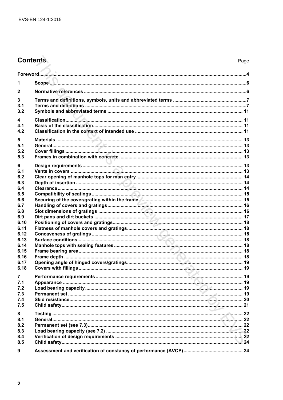# **Contents**

| 1                                                                                                                |  |
|------------------------------------------------------------------------------------------------------------------|--|
| $\mathbf{2}$                                                                                                     |  |
| 3<br>3.1<br>3.2                                                                                                  |  |
| 4<br>4.1<br>4.2                                                                                                  |  |
| 5<br>5.1<br>5.2<br>5.3                                                                                           |  |
| 6<br>6.1<br>6.2<br>6.3<br>6.4<br>6.5<br>6.6<br>6.7<br>6.8<br>6.9<br>6.10<br>6.11<br>6.12<br>6.13<br>6.14<br>6.15 |  |
| 6.16<br>6.17<br>6.18                                                                                             |  |
| 7<br>7.1<br>7.2<br>7.3<br>7.4<br>7.5                                                                             |  |
| 8<br>8.1<br>8.2<br>8.3<br>8.4<br>8.5                                                                             |  |
| 9                                                                                                                |  |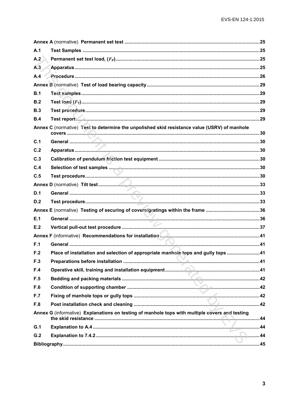| A.1 |                                                                                                |  |
|-----|------------------------------------------------------------------------------------------------|--|
| A.2 |                                                                                                |  |
| A.3 |                                                                                                |  |
| A.4 |                                                                                                |  |
|     |                                                                                                |  |
| B.1 |                                                                                                |  |
| B.2 |                                                                                                |  |
| B.3 |                                                                                                |  |
| B.4 |                                                                                                |  |
|     | Annex C (normative) Test to determine the unpolished skid resistance value (USRV) of manhole   |  |
| C.1 |                                                                                                |  |
| C.2 |                                                                                                |  |
| C.3 |                                                                                                |  |
| C.4 |                                                                                                |  |
| C.5 |                                                                                                |  |
|     |                                                                                                |  |
| D.1 |                                                                                                |  |
| D.2 |                                                                                                |  |
|     |                                                                                                |  |
| E.1 |                                                                                                |  |
| E.2 |                                                                                                |  |
|     | Annex F (informative) Recommendations for installation <b>Communication</b> 41                 |  |
| F.1 |                                                                                                |  |
| F.2 | Place of installation and selection of appropriate manhole tops and gully tops 41              |  |
| F.3 |                                                                                                |  |
| F.4 |                                                                                                |  |
| F.5 |                                                                                                |  |
| F.6 |                                                                                                |  |
| F.7 |                                                                                                |  |
| F.8 |                                                                                                |  |
|     | Annex G (informative) Explanations on testing of manhole tops with multiple covers and testing |  |
| G.1 |                                                                                                |  |
| G.2 |                                                                                                |  |
|     |                                                                                                |  |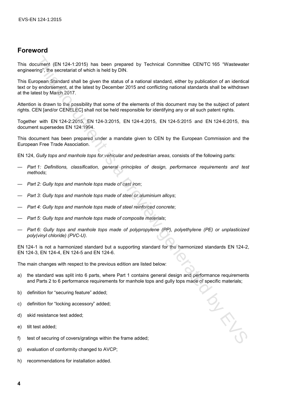## **Foreword**

This document (EN 124-1:2015) has been prepared by Technical Committee CEN/TC 165 "Wastewater engineering", the secretariat of which is held by DIN.

This European Standard shall be given the status of a national standard, either by publication of an identical text or by endorsement, at the latest by December 2015 and conflicting national standards shall be withdrawn at the latest by March 2017. norment (FN 124-1:2015) has been prepared by Technical Committee CENTC 165 "Wastewater<br>infor" the secretarial of which is held by DIN.<br>
Eventompton Standard, either by publication of an identical<br>propose Standard Haal leg

Attention is drawn to the possibility that some of the elements of this document may be the subject of patent rights. CEN [and/or CENELEC] shall not be held responsible for identifying any or all such patent rights.

Together with EN 124-2:2015, EN 124-3:2015, EN 124-4:2015, EN 124-5:2015 and EN 124-6:2015, this document supersedes EN 124:1994.

This document has been prepared under a mandate given to CEN by the European Commission and the European Free Trade Association.

EN 124, *Gully tops and manhole tops for vehicular and pedestrian areas*, consists of the following parts:

- *Part 1: Definitions, classification, general principles of design, performance requirements and test methods*;
- *Part 2: Gully tops and manhole tops made of cast iron*;
- *Part 3: Gully tops and manhole tops made of steel or aluminium alloys*;
- *Part 4: Gully tops and manhole tops made of steel reinforced concrete*;
- *Part 5: Gully tops and manhole tops made of composite materials*;
- *Part 6: Gully tops and manhole tops made of polypropylene (PP), polyethylene (PE) or unplasticized poly(vinyl chloride) (PVC-U)*.

EN 124-1 is not a harmonized standard but a supporting standard for the harmonized standards EN 124-2, EN 124-3, EN 124-4, EN 124-5 and EN 124-6.

The main changes with respect to the previous edition are listed below:

- a) the standard was split into 6 parts, where Part 1 contains general design and performance requirements and Parts 2 to 6 performance requirements for manhole tops and gully tops made of specific materials;
- b) definition for "securing feature" added;
- c) definition for "locking accessory" added;
- d) skid resistance test added;
- e) tilt test added;
- f) test of securing of covers/gratings within the frame added;
- g) evaluation of conformity changed to AVCP;
- h) recommendations for installation added.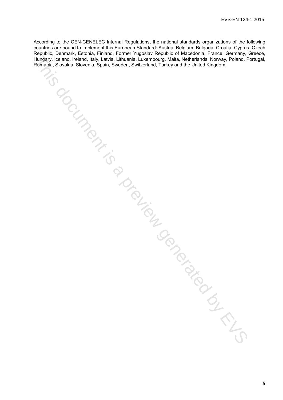According to the CEN-CENELEC Internal Regulations, the national standards organizations of the following countries are bound to implement this European Standard: Austria, Belgium, Bulgaria, Croatia, Cyprus, Czech Republic, Denmark, Estonia, Finland, Former Yugoslav Republic of Macedonia, France, Germany, Greece, Hungary, Iceland, Ireland, Italy, Latvia, Lithuania, Luxembourg, Malta, Netherlands, Norway, Poland, Portugal, Romania, Slovakia, Slovenia, Spain, Sweden, Switzerland, Turkey and the United Kingdom. Thurgary, Cendard, Treata, Special, Special, Librariana, Librariana, Twempourg, Mala, Netherlands, Newsley, Peland, P<br>
Homen's Showkie, Skowenia, Specia, Sweden, Switzerland, Turkey and the United Kingdom.<br>
Although Showki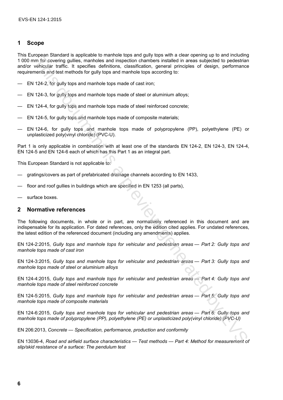#### **1 Scope**

This European Standard is applicable to manhole tops and gully tops with a clear opening up to and including 1 000 mm for covering gullies, manholes and inspection chambers installed in areas subjected to pedestrian and/or vehicular traffic. It specifies definitions, classification, general principles of design, performance requirements and test methods for gully tops and manhole tops according to: since its analism to separate the matrix of the matrix of the second in the second put and matrix preview and the second put and the second put and the second put and the second put and the second put and the second put a

- EN 124-2, for gully tops and manhole tops made of cast iron;
- EN 124-3, for gully tops and manhole tops made of steel or aluminium alloys;
- EN 124-4, for gully tops and manhole tops made of steel reinforced concrete;
- EN 124-5, for gully tops and manhole tops made of composite materials;
- EN 124-6, for gully tops and manhole tops made of polypropylene (PP), polyethylene (PE) or unplasticized poly(vinyl chloride) (PVC-U).

Part 1 is only applicable in combination with at least one of the standards EN 124-2, EN 124-3, EN 124-4, EN 124-5 and EN 124-6 each of which has this Part 1 as an integral part.

This European Standard is not applicable to:

- gratings/covers as part of prefabricated drainage channels according to EN 1433,
- floor and roof gullies in buildings which are specified in EN 1253 (all parts),
- surface boxes.

#### **2 Normative references**

The following documents, in whole or in part, are normatively referenced in this document and are indispensable for its application. For dated references, only the edition cited applies. For undated references, the latest edition of the referenced document (including any amendments) applies.

EN 124-2:2015, *Gully tops and manhole tops for vehicular and pedestrian areas — Part 2: Gully tops and manhole tops made of cast iron*

EN 124-3:2015, *Gully tops and manhole tops for vehicular and pedestrian areas — Part 3: Gully tops and manhole tops made of steel or aluminium alloys*

EN 124-4:2015, *Gully tops and manhole tops for vehicular and pedestrian areas — Part 4: Gully tops and manhole tops made of steel reinforced concrete*

EN 124-5:2015, *Gully tops and manhole tops for vehicular and pedestrian areas — Part 5: Gully tops and manhole tops made of composite materials*

EN 124-6:2015, *Gully tops and manhole tops for vehicular and pedestrian areas — Part 6: Gully tops and manhole tops made of polypropylene (PP), polyethylene (PE) or unplasticized poly(vinyl chloride) (PVC-U)*

EN 206:2013, *Concrete — Specification, performance, production and conformity*

EN 13036-4, *Road and airfield surface characteristics — Test methods — Part 4: Method for measurement of slip/skid resistance of a surface: The pendulum test*